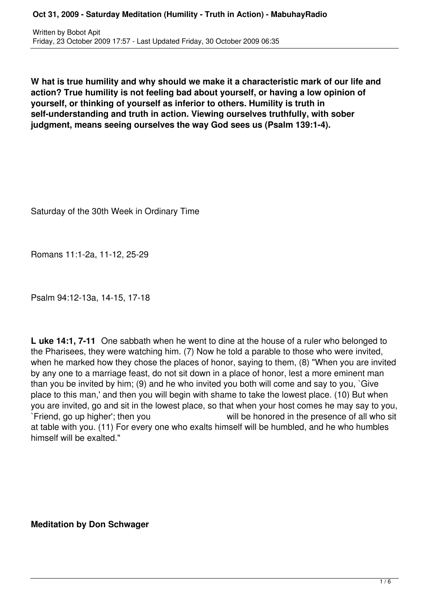Written by Bobot Apit Friday, 23 October 2009 17:57 - Last Updated Friday, 30 October 2009 06:35

**W hat is true humility and why should we make it a characteristic mark of our life and action? True humility is not feeling bad about yourself, or having a low opinion of yourself, or thinking of yourself as inferior to others. Humility is truth in self-understanding and truth in action. Viewing ourselves truthfully, with sober judgment, means seeing ourselves the way God sees us (Psalm 139:1-4).** 

Saturday of the 30th Week in Ordinary Time

Romans 11:1-2a, 11-12, 25-29

Psalm 94:12-13a, 14-15, 17-18

**L uke 14:1, 7-11** One sabbath when he went to dine at the house of a ruler who belonged to the Pharisees, they were watching him. (7) Now he told a parable to those who were invited, when he marked how they chose the places of honor, saying to them, (8) "When you are invited by any one to a marriage feast, do not sit down in a place of honor, lest a more eminent man than you be invited by him; (9) and he who invited you both will come and say to you, `Give place to this man,' and then you will begin with shame to take the lowest place. (10) But when you are invited, go and sit in the lowest place, so that when your host comes he may say to you, `Friend, go up higher'; then you will be honored in the presence of all who sit at table with you. (11) For every one who exalts himself will be humbled, and he who humbles himself will be exalted."

**Meditation by Don Schwager**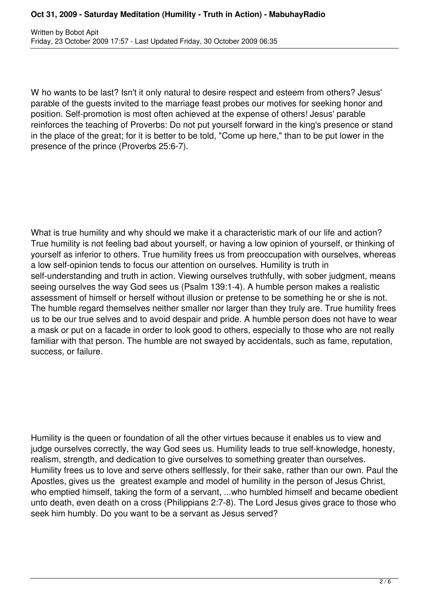W ho wants to be last? Isn't it only natural to desire respect and esteem from others? Jesus' parable of the guests invited to the marriage feast probes our motives for seeking honor and position. Self-promotion is most often achieved at the expense of others! Jesus' parable reinforces the teaching of Proverbs: Do not put yourself forward in the king's presence or stand in the place of the great; for it is better to be told, "Come up here," than to be put lower in the presence of the prince (Proverbs 25:6-7).

What is true humility and why should we make it a characteristic mark of our life and action? True humility is not feeling bad about yourself, or having a low opinion of yourself, or thinking of yourself as inferior to others. True humility frees us from preoccupation with ourselves, whereas a low self-opinion tends to focus our attention on ourselves. Humility is truth in self-understanding and truth in action. Viewing ourselves truthfully, with sober judgment, means seeing ourselves the way God sees us (Psalm 139:1-4). A humble person makes a realistic assessment of himself or herself without illusion or pretense to be something he or she is not. The humble regard themselves neither smaller nor larger than they truly are. True humility frees us to be our true selves and to avoid despair and pride. A humble person does not have to wear a mask or put on a facade in order to look good to others, especially to those who are not really familiar with that person. The humble are not swayed by accidentals, such as fame, reputation, success, or failure.

Humility is the queen or foundation of all the other virtues because it enables us to view and judge ourselves correctly, the way God sees us. Humility leads to true self-knowledge, honesty, realism, strength, and dedication to give ourselves to something greater than ourselves. Humility frees us to love and serve others selflessly, for their sake, rather than our own. Paul the Apostles, gives us the greatest example and model of humility in the person of Jesus Christ, who emptied himself, taking the form of a servant, ...who humbled himself and became obedient unto death, even death on a cross (Philippians 2:7-8). The Lord Jesus gives grace to those who seek him humbly. Do you want to be a servant as Jesus served?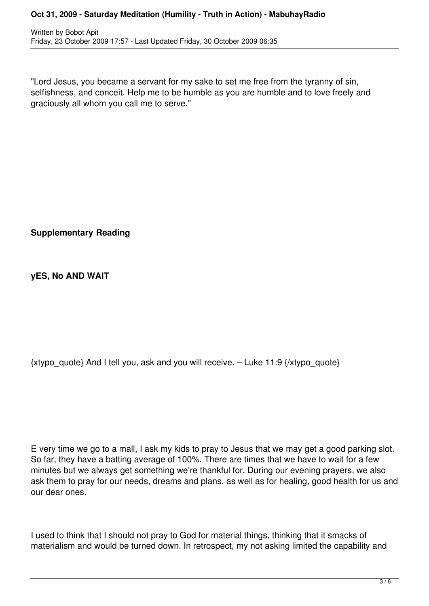## **Oct 31, 2009 - Saturday Meditation (Humility - Truth in Action) - MabuhayRadio**

Written by Bobot Apit Friday, 23 October 2009 17:57 - Last Updated Friday, 30 October 2009 06:35

"Lord Jesus, you became a servant for my sake to set me free from the tyranny of sin, selfishness, and conceit. Help me to be humble as you are humble and to love freely and graciously all whom you call me to serve."

**Supplementary Reading**

**yES, No AND WAIT**

 $\{xtypo\text{ quote}\}$  And I tell you, ask and you will receive. – Luke 11:9  $\{xtypo\text{ quote}\}$ 

E very time we go to a mall, I ask my kids to pray to Jesus that we may get a good parking slot. So far, they have a batting average of 100%. There are times that we have to wait for a few minutes but we always get something we're thankful for. During our evening prayers, we also ask them to pray for our needs, dreams and plans, as well as for healing, good health for us and our dear ones.

I used to think that I should not pray to God for material things, thinking that it smacks of materialism and would be turned down. In retrospect, my not asking limited the capability and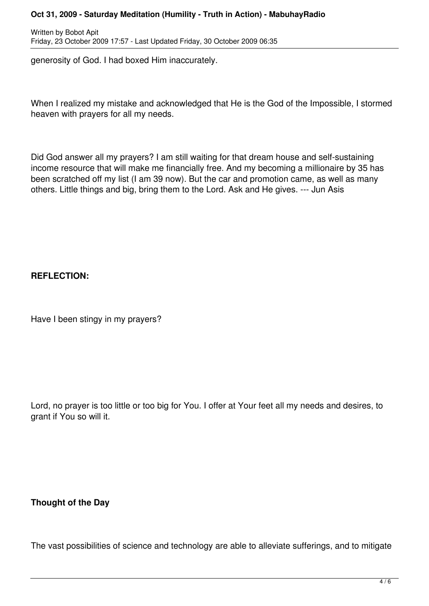## **Oct 31, 2009 - Saturday Meditation (Humility - Truth in Action) - MabuhayRadio**

Written by Bobot Apit Friday, 23 October 2009 17:57 - Last Updated Friday, 30 October 2009 06:35

generosity of God. I had boxed Him inaccurately.

When I realized my mistake and acknowledged that He is the God of the Impossible, I stormed heaven with prayers for all my needs.

Did God answer all my prayers? I am still waiting for that dream house and self-sustaining income resource that will make me financially free. And my becoming a millionaire by 35 has been scratched off my list (I am 39 now). But the car and promotion came, as well as many others. Little things and big, bring them to the Lord. Ask and He gives. --- Jun Asis

## **REFLECTION:**

Have I been stingy in my prayers?

Lord, no prayer is too little or too big for You. I offer at Your feet all my needs and desires, to grant if You so will it.

**Thought of the Day**

The vast possibilities of science and technology are able to alleviate sufferings, and to mitigate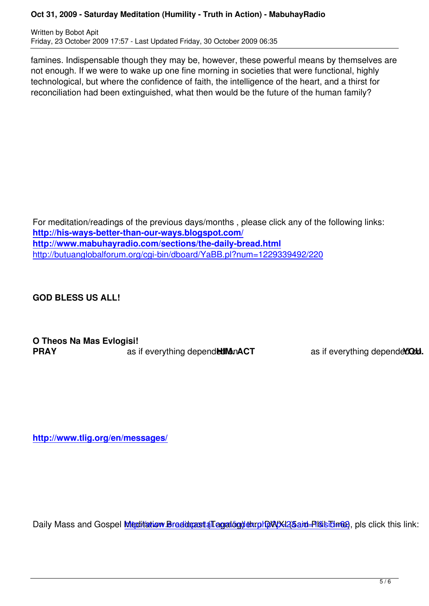famines. Indispensable though they may be, however, these powerful means by themselves are not enough. If we were to wake up one fine morning in societies that were functional, highly technological, but where the confidence of faith, the intelligence of the heart, and a thirst for reconciliation had been extinguished, what then would be the future of the human family?

For meditation/readings of the previous days/months , please click any of the following links: **http://his-ways-better-than-our-ways.blogspot.com/ http://www.mabuhayradio.com/sections/the-daily-bread.html** http://butuanglobalforum.org/cgi-bin/dboard/YaBB.pl?num=1229339492/220

**[GOD BLESS US ALL!](http://butuanglobalforum.org/cgi-bin/dboard/YaBB.pl?num=1229339492/220)**

**O Theos Na Mas Evlogisi! PRAY** as if everything depend**ed on ACT** as if everything depended on a same as if everything depended on  $\blacksquare$ 

**http://www.tlig.org/en/messages/**

Daily Mass and Gospel Meditation Braddcast (Tagalog) thru DWXXI (5aid=Pl&isidina), pls click this link: